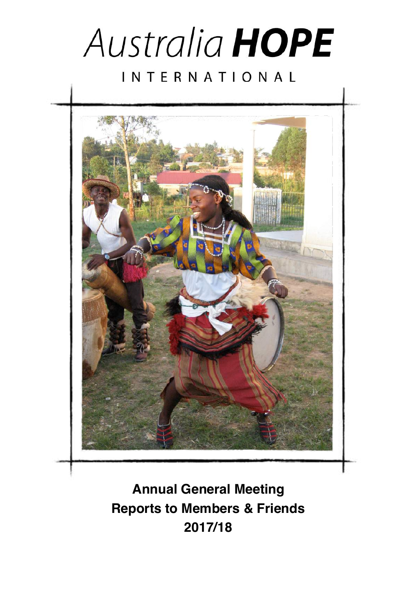



**Annual General Meeting Reports to Members & Friends 2017/18**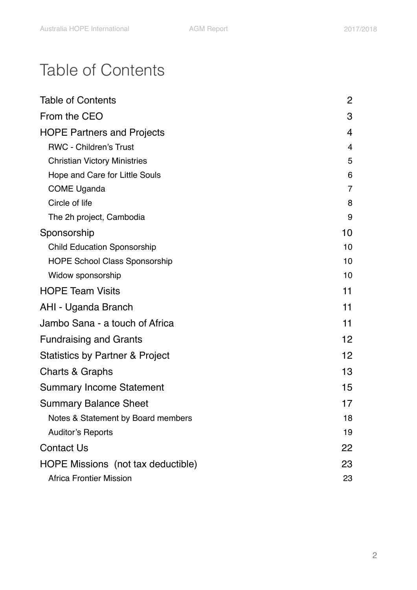# <span id="page-1-0"></span>Table of Contents

| <b>Table of Contents</b>             | 2              |
|--------------------------------------|----------------|
| From the CEO                         | 3              |
| <b>HOPE Partners and Projects</b>    | 4              |
| <b>RWC - Children's Trust</b>        | $\overline{4}$ |
| <b>Christian Victory Ministries</b>  | 5              |
| Hope and Care for Little Souls       | 6              |
| <b>COME Uganda</b>                   | $\overline{7}$ |
| Circle of life                       | 8              |
| The 2h project, Cambodia             | 9              |
| Sponsorship                          | 10             |
| <b>Child Education Sponsorship</b>   | 10             |
| <b>HOPE School Class Sponsorship</b> | 10             |
| Widow sponsorship                    | 10             |
| <b>HOPE Team Visits</b>              | 11             |
| AHI - Uganda Branch                  | 11             |
| Jambo Sana - a touch of Africa       | 11             |
| <b>Fundraising and Grants</b>        | 12             |
| Statistics by Partner & Project      | 12             |
| Charts & Graphs                      | 13             |
| <b>Summary Income Statement</b>      | 15             |
| <b>Summary Balance Sheet</b>         | 17             |
| Notes & Statement by Board members   | 18             |
| <b>Auditor's Reports</b>             | 19             |
| <b>Contact Us</b>                    | 22             |
| HOPE Missions (not tax deductible)   | 23             |
| <b>Africa Frontier Mission</b>       | 23             |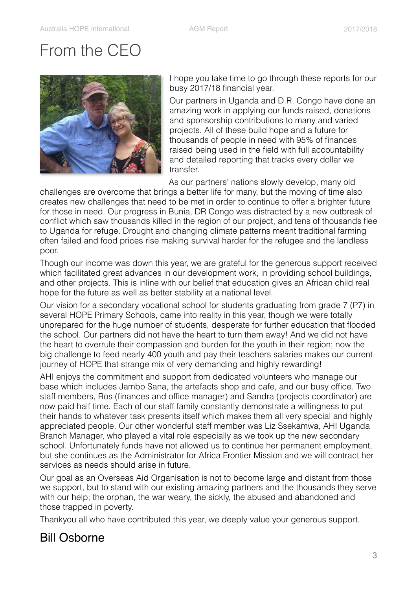# <span id="page-2-0"></span>From the CEO



I hope you take time to go through these reports for our busy 2017/18 financial year.

Our partners in Uganda and D.R. Congo have done an amazing work in applying our funds raised, donations and sponsorship contributions to many and varied projects. All of these build hope and a future for thousands of people in need with 95% of finances raised being used in the field with full accountability and detailed reporting that tracks every dollar we transfer.

As our partners' nations slowly develop, many old

challenges are overcome that brings a better life for many, but the moving of time also creates new challenges that need to be met in order to continue to offer a brighter future for those in need. Our progress in Bunia, DR Congo was distracted by a new outbreak of conflict which saw thousands killed in the region of our project, and tens of thousands flee to Uganda for refuge. Drought and changing climate patterns meant traditional farming often failed and food prices rise making survival harder for the refugee and the landless poor.

Though our income was down this year, we are grateful for the generous support received which facilitated great advances in our development work, in providing school buildings, and other projects. This is inline with our belief that education gives an African child real hope for the future as well as better stability at a national level.

Our vision for a secondary vocational school for students graduating from grade 7 (P7) in several HOPE Primary Schools, came into reality in this year, though we were totally unprepared for the huge number of students, desperate for further education that flooded the school. Our partners did not have the heart to turn them away! And we did not have the heart to overrule their compassion and burden for the youth in their region; now the big challenge to feed nearly 400 youth and pay their teachers salaries makes our current journey of HOPE that strange mix of very demanding and highly rewarding!

AHI enjoys the commitment and support from dedicated volunteers who manage our base which includes Jambo Sana, the artefacts shop and cafe, and our busy office. Two staff members, Ros (finances and office manager) and Sandra (projects coordinator) are now paid half time. Each of our staff family constantly demonstrate a willingness to put their hands to whatever task presents itself which makes them all very special and highly appreciated people. Our other wonderful staff member was Liz Ssekamwa, AHI Uganda Branch Manager, who played a vital role especially as we took up the new secondary school. Unfortunately funds have not allowed us to continue her permanent employment, but she continues as the Administrator for Africa Frontier Mission and we will contract her services as needs should arise in future.

Our goal as an Overseas Aid Organisation is not to become large and distant from those we support, but to stand with our existing amazing partners and the thousands they serve with our help; the orphan, the war weary, the sickly, the abused and abandoned and those trapped in poverty.

Thankyou all who have contributed this year, we deeply value your generous support.

### Bill Osborne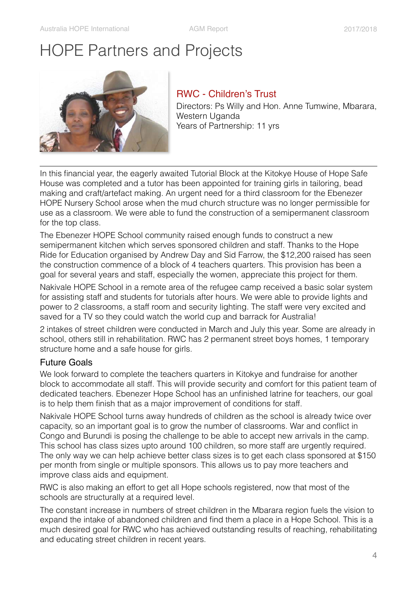# <span id="page-3-0"></span>HOPE Partners and Projects



#### <span id="page-3-1"></span>RWC - Children's Trust

Directors: Ps Willy and Hon. Anne Tumwine, Mbarara, Western Uganda Years of Partnership: 11 yrs

In this financial year, the eagerly awaited Tutorial Block at the Kitokye House of Hope Safe House was completed and a tutor has been appointed for training girls in tailoring, bead making and craft/artefact making. An urgent need for a third classroom for the Ebenezer HOPE Nursery School arose when the mud church structure was no longer permissible for use as a classroom. We were able to fund the construction of a semipermanent classroom for the top class.

The Ebenezer HOPE School community raised enough funds to construct a new semipermanent kitchen which serves sponsored children and staff. Thanks to the Hope Ride for Education organised by Andrew Day and Sid Farrow, the \$12,200 raised has seen the construction commence of a block of 4 teachers quarters. This provision has been a goal for several years and staff, especially the women, appreciate this project for them.

Nakivale HOPE School in a remote area of the refugee camp received a basic solar system for assisting staff and students for tutorials after hours. We were able to provide lights and power to 2 classrooms, a staff room and security lighting. The staff were very excited and saved for a TV so they could watch the world cup and barrack for Australia!

2 intakes of street children were conducted in March and July this year. Some are already in school, others still in rehabilitation. RWC has 2 permanent street boys homes, 1 temporary structure home and a safe house for girls.

#### Future Goals

We look forward to complete the teachers quarters in Kitokye and fundraise for another block to accommodate all staff. This will provide security and comfort for this patient team of dedicated teachers. Ebenezer Hope School has an unfinished latrine for teachers, our goal is to help them finish that as a major improvement of conditions for staff.

Nakivale HOPE School turns away hundreds of children as the school is already twice over capacity, so an important goal is to grow the number of classrooms. War and conflict in Congo and Burundi is posing the challenge to be able to accept new arrivals in the camp. This school has class sizes upto around 100 children, so more staff are urgently required. The only way we can help achieve better class sizes is to get each class sponsored at \$150 per month from single or multiple sponsors. This allows us to pay more teachers and improve class aids and equipment.

RWC is also making an effort to get all Hope schools registered, now that most of the schools are structurally at a required level.

The constant increase in numbers of street children in the Mbarara region fuels the vision to expand the intake of abandoned children and find them a place in a Hope School. This is a much desired goal for RWC who has achieved outstanding results of reaching, rehabilitating and educating street children in recent years.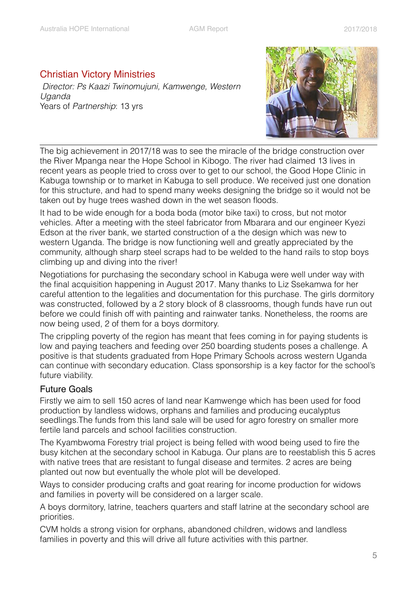#### <span id="page-4-0"></span>Christian Victory Ministries

*Director: Ps Kaazi Twinomujuni, Kamwenge, Western Uganda*  Years of *Partnership*: 13 yrs



The big achievement in 2017/18 was to see the miracle of the bridge construction over the River Mpanga near the Hope School in Kibogo. The river had claimed 13 lives in recent years as people tried to cross over to get to our school, the Good Hope Clinic in Kabuga township or to market in Kabuga to sell produce. We received just one donation for this structure, and had to spend many weeks designing the bridge so it would not be taken out by huge trees washed down in the wet season floods.

It had to be wide enough for a boda boda (motor bike taxi) to cross, but not motor vehicles. After a meeting with the steel fabricator from Mbarara and our engineer Kyezi Edson at the river bank, we started construction of a the design which was new to western Uganda. The bridge is now functioning well and greatly appreciated by the community, although sharp steel scraps had to be welded to the hand rails to stop boys climbing up and diving into the river!

Negotiations for purchasing the secondary school in Kabuga were well under way with the final acquisition happening in August 2017. Many thanks to Liz Ssekamwa for her careful attention to the legalities and documentation for this purchase. The girls dormitory was constructed, followed by a 2 story block of 8 classrooms, though funds have run out before we could finish off with painting and rainwater tanks. Nonetheless, the rooms are now being used, 2 of them for a boys dormitory.

The crippling poverty of the region has meant that fees coming in for paying students is low and paying teachers and feeding over 250 boarding students poses a challenge. A positive is that students graduated from Hope Primary Schools across western Uganda can continue with secondary education. Class sponsorship is a key factor for the school's future viability.

#### Future Goals

Firstly we aim to sell 150 acres of land near Kamwenge which has been used for food production by landless widows, orphans and families and producing eucalyptus seedlings.The funds from this land sale will be used for agro forestry on smaller more fertile land parcels and school facilities construction.

The Kyambwoma Forestry trial project is being felled with wood being used to fire the busy kitchen at the secondary school in Kabuga. Our plans are to reestablish this 5 acres with native trees that are resistant to fungal disease and termites. 2 acres are being planted out now but eventually the whole plot will be developed.

Ways to consider producing crafts and goat rearing for income production for widows and families in poverty will be considered on a larger scale.

A boys dormitory, latrine, teachers quarters and staff latrine at the secondary school are priorities.

CVM holds a strong vision for orphans, abandoned children, widows and landless families in poverty and this will drive all future activities with this partner.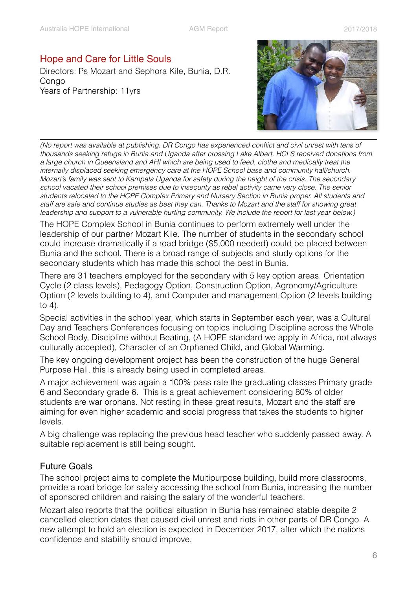#### <span id="page-5-0"></span>Hope and Care for Little Souls

Directors: Ps Mozart and Sephora Kile, Bunia, D.R. **Congo** Years of Partnership: 11yrs



*(No report was available at publishing. DR Congo has experienced conflict and civil unrest with tens of thousands seeking refuge in Bunia and Uganda after crossing Lake Albert. HCLS received donations from a large church in Queensland and AHI which are being used to feed, clothe and medically treat the internally displaced seeking emergency care at the HOPE School base and community hall/church. Mozart's family was sent to Kampala Uganda for safety during the height of the crisis. The secondary school vacated their school premises due to insecurity as rebel activity came very close. The senior students relocated to the HOPE Complex Primary and Nursery Section in Bunia proper. All students and staff are safe and continue studies as best they can. Thanks to Mozart and the staff for showing great leadership and support to a vulnerable hurting community. We include the report for last year below.*)

The HOPE Complex School in Bunia continues to perform extremely well under the leadership of our partner Mozart Kile. The number of students in the secondary school could increase dramatically if a road bridge (\$5,000 needed) could be placed between Bunia and the school. There is a broad range of subjects and study options for the secondary students which has made this school the best in Bunia.

There are 31 teachers employed for the secondary with 5 key option areas. Orientation Cycle (2 class levels), Pedagogy Option, Construction Option, Agronomy/Agriculture Option (2 levels building to 4), and Computer and management Option (2 levels building to 4).

Special activities in the school year, which starts in September each year, was a Cultural Day and Teachers Conferences focusing on topics including Discipline across the Whole School Body, Discipline without Beating, (A HOPE standard we apply in Africa, not always culturally accepted), Character of an Orphaned Child, and Global Warming.

The key ongoing development project has been the construction of the huge General Purpose Hall, this is already being used in completed areas.

A major achievement was again a 100% pass rate the graduating classes Primary grade 6 and Secondary grade 6. This is a great achievement considering 80% of older students are war orphans. Not resting in these great results, Mozart and the staff are aiming for even higher academic and social progress that takes the students to higher levels.

A big challenge was replacing the previous head teacher who suddenly passed away. A suitable replacement is still being sought.

#### Future Goals

The school project aims to complete the Multipurpose building, build more classrooms, provide a road bridge for safely accessing the school from Bunia, increasing the number of sponsored children and raising the salary of the wonderful teachers.

Mozart also reports that the political situation in Bunia has remained stable despite 2 cancelled election dates that caused civil unrest and riots in other parts of DR Congo. A new attempt to hold an election is expected in December 2017, after which the nations confidence and stability should improve.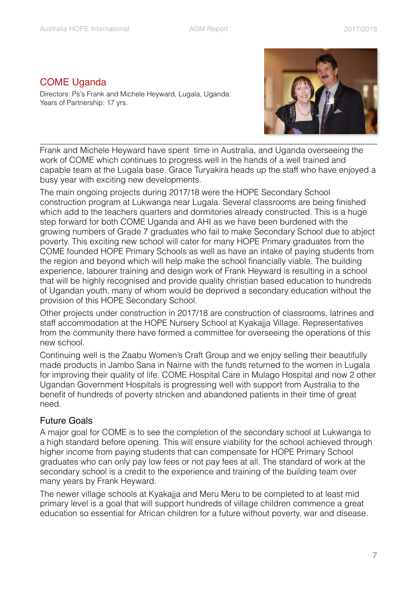#### <span id="page-6-0"></span>COME Uganda

Directors: Ps's Frank and Michele Heyward, Lugala, Uganda. Years of Partnership: 17 yrs.



Frank and Michele Heyward have spent time in Australia, and Uganda overseeing the work of COME which continues to progress well in the hands of a well trained and capable team at the Lugala base. Grace Turyakira heads up the staff who have enjoyed a busy year with exciting new developments.

The main ongoing projects during 2017/18 were the HOPE Secondary School construction program at Lukwanga near Lugala. Several classrooms are being finished which add to the teachers quarters and dormitories already constructed. This is a huge step forward for both COME Uganda and AHI as we have been burdened with the growing numbers of Grade 7 graduates who fail to make Secondary School due to abject poverty. This exciting new school will cater for many HOPE Primary graduates from the COME founded HOPE Primary Schools as well as have an intake of paying students from the region and beyond which will help make the school financially viable. The building experience, labourer training and design work of Frank Heyward is resulting in a school that will be highly recognised and provide quality christian based education to hundreds of Ugandan youth, many of whom would be deprived a secondary education without the provision of this HOPE Secondary School.

Other projects under construction in 2017/18 are construction of classrooms, latrines and staff accommodation at the HOPE Nursery School at Kyakajja Village. Representatives from the community there have formed a committee for overseeing the operations of this new school.

Continuing well is the Zaabu Women's Craft Group and we enjoy selling their beautifully made products in Jambo Sana in Nairne with the funds returned to the women in Lugala for improving their quality of life. COME Hospital Care in Mulago Hospital and now 2 other Ugandan Government Hospitals is progressing well with support from Australia to the benefit of hundreds of poverty stricken and abandoned patients in their time of great need.

#### Future Goals

A major goal for COME is to see the completion of the secondary school at Lukwanga to a high standard before opening. This will ensure viability for the school achieved through higher income from paying students that can compensate for HOPE Primary School graduates who can only pay low fees or not pay fees at all. The standard of work at the secondary school is a credit to the experience and training of the building team over many years by Frank Heyward.

The newer village schools at Kyakajja and Meru Meru to be completed to at least mid primary level is a goal that will support hundreds of village children commence a great education so essential for African children for a future without poverty, war and disease.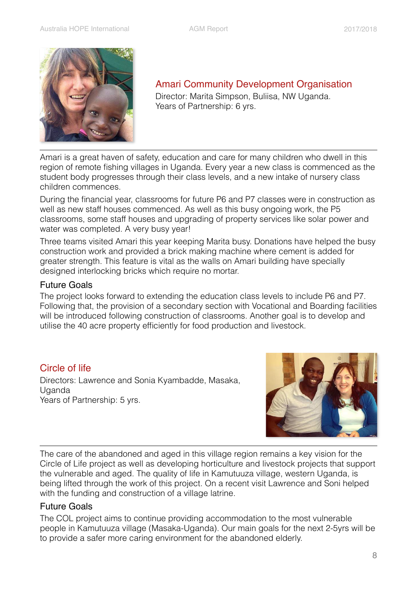

Amari Community Development Organisation Director: Marita Simpson, Buliisa, NW Uganda.

Years of Partnership: 6 yrs.

Amari is a great haven of safety, education and care for many children who dwell in this region of remote fishing villages in Uganda. Every year a new class is commenced as the student body progresses through their class levels, and a new intake of nursery class children commences.

During the financial year, classrooms for future P6 and P7 classes were in construction as well as new staff houses commenced. As well as this busy ongoing work, the P5 classrooms, some staff houses and upgrading of property services like solar power and water was completed. A very busy year!

Three teams visited Amari this year keeping Marita busy. Donations have helped the busy construction work and provided a brick making machine where cement is added for greater strength. This feature is vital as the walls on Amari building have specially designed interlocking bricks which require no mortar.

#### Future Goals

The project looks forward to extending the education class levels to include P6 and P7. Following that, the provision of a secondary section with Vocational and Boarding facilities will be introduced following construction of classrooms. Another goal is to develop and utilise the 40 acre property efficiently for food production and livestock.

#### <span id="page-7-0"></span>Circle of life

Directors: Lawrence and Sonia Kyambadde, Masaka, Uganda Years of Partnership: 5 yrs.



The care of the abandoned and aged in this village region remains a key vision for the Circle of Life project as well as developing horticulture and livestock projects that support the vulnerable and aged. The quality of life in Kamutuuza village, western Uganda, is being lifted through the work of this project. On a recent visit Lawrence and Soni helped with the funding and construction of a village latrine.

#### Future Goals

The COL project aims to continue providing accommodation to the most vulnerable people in Kamutuuza village (Masaka-Uganda). Our main goals for the next 2-5yrs will be to provide a safer more caring environment for the abandoned elderly.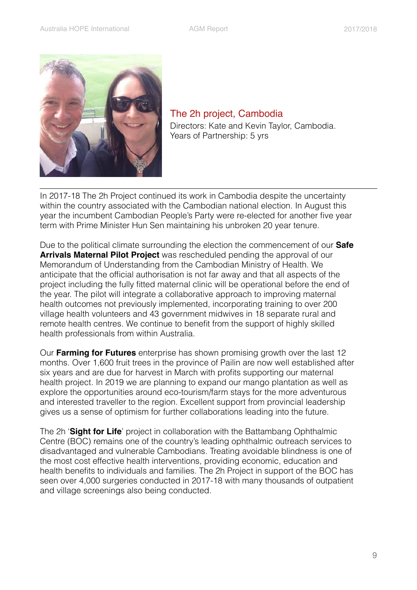<span id="page-8-0"></span>

The 2h project, Cambodia Directors: Kate and Kevin Taylor, Cambodia. Years of Partnership: 5 yrs

In 2017-18 The 2h Project continued its work in Cambodia despite the uncertainty within the country associated with the Cambodian national election. In August this year the incumbent Cambodian People's Party were re-elected for another five year term with Prime Minister Hun Sen maintaining his unbroken 20 year tenure.

Due to the political climate surrounding the election the commencement of our **Safe Arrivals Maternal Pilot Project** was rescheduled pending the approval of our Memorandum of Understanding from the Cambodian Ministry of Health. We anticipate that the official authorisation is not far away and that all aspects of the project including the fully fitted maternal clinic will be operational before the end of the year. The pilot will integrate a collaborative approach to improving maternal health outcomes not previously implemented, incorporating training to over 200 village health volunteers and 43 government midwives in 18 separate rural and remote health centres. We continue to benefit from the support of highly skilled health professionals from within Australia.

Our **Farming for Futures** enterprise has shown promising growth over the last 12 months. Over 1,600 fruit trees in the province of Pailin are now well established after six years and are due for harvest in March with profits supporting our maternal health project. In 2019 we are planning to expand our mango plantation as well as explore the opportunities around eco-tourism/farm stays for the more adventurous and interested traveller to the region. Excellent support from provincial leadership gives us a sense of optimism for further collaborations leading into the future.

The 2h '**Sight for Life**' project in collaboration with the Battambang Ophthalmic Centre (BOC) remains one of the country's leading ophthalmic outreach services to disadvantaged and vulnerable Cambodians. Treating avoidable blindness is one of the most cost effective health interventions, providing economic, education and health benefits to individuals and families. The 2h Project in support of the BOC has seen over 4,000 surgeries conducted in 2017-18 with many thousands of outpatient and village screenings also being conducted.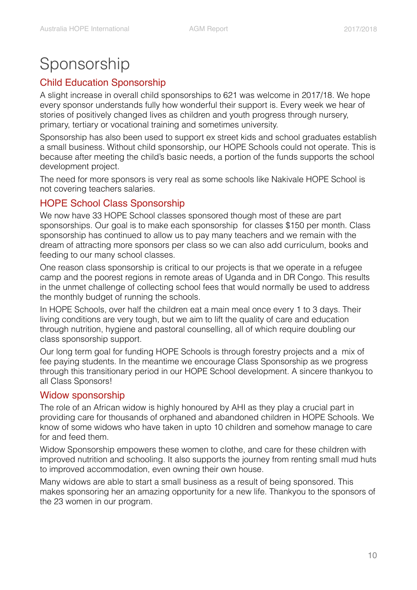# <span id="page-9-0"></span>Sponsorship

#### <span id="page-9-1"></span>Child Education Sponsorship

A slight increase in overall child sponsorships to 621 was welcome in 2017/18. We hope every sponsor understands fully how wonderful their support is. Every week we hear of stories of positively changed lives as children and youth progress through nursery, primary, tertiary or vocational training and sometimes university.

Sponsorship has also been used to support ex street kids and school graduates establish a small business. Without child sponsorship, our HOPE Schools could not operate. This is because after meeting the child's basic needs, a portion of the funds supports the school development project.

The need for more sponsors is very real as some schools like Nakivale HOPE School is not covering teachers salaries.

#### <span id="page-9-2"></span>HOPE School Class Sponsorship

We now have 33 HOPE School classes sponsored though most of these are part sponsorships. Our goal is to make each sponsorship for classes \$150 per month. Class sponsorship has continued to allow us to pay many teachers and we remain with the dream of attracting more sponsors per class so we can also add curriculum, books and feeding to our many school classes.

One reason class sponsorship is critical to our projects is that we operate in a refugee camp and the poorest regions in remote areas of Uganda and in DR Congo. This results in the unmet challenge of collecting school fees that would normally be used to address the monthly budget of running the schools.

In HOPE Schools, over half the children eat a main meal once every 1 to 3 days. Their living conditions are very tough, but we aim to lift the quality of care and education through nutrition, hygiene and pastoral counselling, all of which require doubling our class sponsorship support.

Our long term goal for funding HOPE Schools is through forestry projects and a mix of fee paying students. In the meantime we encourage Class Sponsorship as we progress through this transitionary period in our HOPE School development. A sincere thankyou to all Class Sponsors!

#### <span id="page-9-3"></span>Widow sponsorship

The role of an African widow is highly honoured by AHI as they play a crucial part in providing care for thousands of orphaned and abandoned children in HOPE Schools. We know of some widows who have taken in upto 10 children and somehow manage to care for and feed them.

Widow Sponsorship empowers these women to clothe, and care for these children with improved nutrition and schooling. It also supports the journey from renting small mud huts to improved accommodation, even owning their own house.

Many widows are able to start a small business as a result of being sponsored. This makes sponsoring her an amazing opportunity for a new life. Thankyou to the sponsors of the 23 women in our program.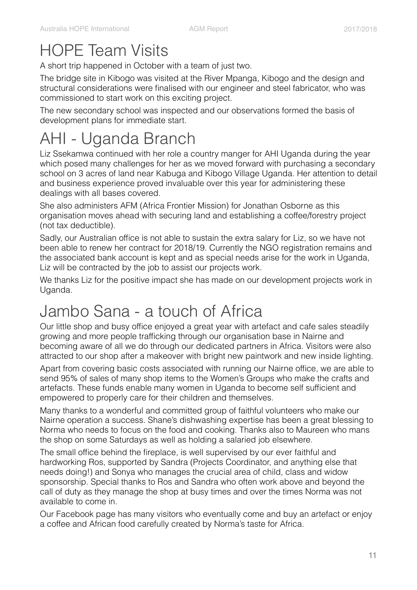# <span id="page-10-0"></span>HOPE Team Visits

A short trip happened in October with a team of just two.

The bridge site in Kibogo was visited at the River Mpanga, Kibogo and the design and structural considerations were finalised with our engineer and steel fabricator, who was commissioned to start work on this exciting project.

The new secondary school was inspected and our observations formed the basis of development plans for immediate start.

# <span id="page-10-1"></span>AHI - Uganda Branch

Liz Ssekamwa continued with her role a country manger for AHI Uganda during the year which posed many challenges for her as we moved forward with purchasing a secondary school on 3 acres of land near Kabuga and Kibogo Village Uganda. Her attention to detail and business experience proved invaluable over this year for administering these dealings with all bases covered.

She also administers AFM (Africa Frontier Mission) for Jonathan Osborne as this organisation moves ahead with securing land and establishing a coffee/forestry project (not tax deductible).

Sadly, our Australian office is not able to sustain the extra salary for Liz, so we have not been able to renew her contract for 2018/19. Currently the NGO registration remains and the associated bank account is kept and as special needs arise for the work in Uganda, Liz will be contracted by the job to assist our projects work.

We thanks Liz for the positive impact she has made on our development projects work in Uganda.

# <span id="page-10-2"></span>Jambo Sana - a touch of Africa

Our little shop and busy office enjoyed a great year with artefact and cafe sales steadily growing and more people trafficking through our organisation base in Nairne and becoming aware of all we do through our dedicated partners in Africa. Visitors were also attracted to our shop after a makeover with bright new paintwork and new inside lighting.

Apart from covering basic costs associated with running our Nairne office, we are able to send 95% of sales of many shop items to the Women's Groups who make the crafts and artefacts. These funds enable many women in Uganda to become self sufficient and empowered to properly care for their children and themselves.

Many thanks to a wonderful and committed group of faithful volunteers who make our Nairne operation a success. Shane's dishwashing expertise has been a great blessing to Norma who needs to focus on the food and cooking. Thanks also to Maureen who mans the shop on some Saturdays as well as holding a salaried job elsewhere.

The small office behind the fireplace, is well supervised by our ever faithful and hardworking Ros, supported by Sandra (Projects Coordinator, and anything else that needs doing!) and Sonya who manages the crucial area of child, class and widow sponsorship. Special thanks to Ros and Sandra who often work above and beyond the call of duty as they manage the shop at busy times and over the times Norma was not available to come in.

Our Facebook page has many visitors who eventually come and buy an artefact or enjoy a coffee and African food carefully created by Norma's taste for Africa.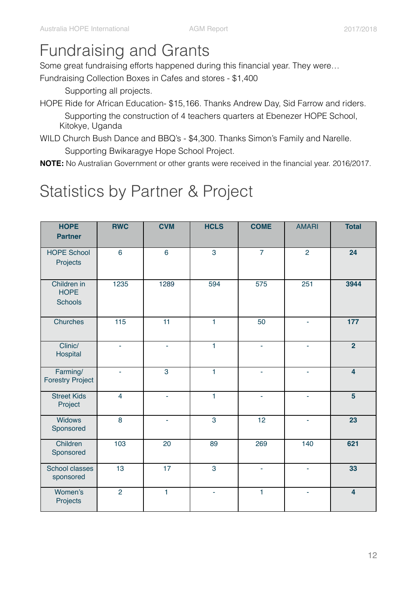## <span id="page-11-0"></span>Fundraising and Grants

Some great fundraising efforts happened during this financial year. They were…

Fundraising Collection Boxes in Cafes and stores - \$1,400

Supporting all projects.

- HOPE Ride for African Education- \$15,166. Thanks Andrew Day, Sid Farrow and riders. Supporting the construction of 4 teachers quarters at Ebenezer HOPE School, Kitokye, Uganda
- WILD Church Bush Dance and BBQ's \$4,300. Thanks Simon's Family and Narelle. Supporting Bwikaragye Hope School Project.
- **NOTE:** No Australian Government or other grants were received in the financial year. 2016/2017.

# <span id="page-11-1"></span>Statistics by Partner & Project

| <b>HOPE</b><br><b>Partner</b>                | <b>RWC</b>       | <b>CVM</b>     | <b>HCLS</b>    | <b>COME</b>    | <b>AMARI</b>    | <b>Total</b>            |
|----------------------------------------------|------------------|----------------|----------------|----------------|-----------------|-------------------------|
| <b>HOPE School</b><br>Projects               | $6\phantom{a}$   | $6\phantom{a}$ | 3              | $\overline{7}$ | $\overline{2}$  | 24                      |
| Children in<br><b>HOPE</b><br><b>Schools</b> | 1235             | 1289           | 594            | 575            | 251             | 3944                    |
| <b>Churches</b>                              | $\overline{115}$ | 11             | $\mathbf{1}$   | 50             | L,              | 177                     |
| Clinic/<br>Hospital                          | L,               | ä,             | $\mathbf{1}$   | ä,             | L,              | $\overline{2}$          |
| Farming/<br><b>Forestry Project</b>          | ٠                | $\overline{3}$ | $\overline{1}$ | ÷.             | ÷,              | $\overline{4}$          |
| <b>Street Kids</b><br>Project                | $\overline{4}$   | ÷.             | $\mathbf{1}$   | ÷.             | L,              | $5\phantom{a}$          |
| <b>Widows</b><br>Sponsored                   | $\overline{8}$   | ٠              | $\overline{3}$ | 12             | L,              | $\overline{23}$         |
| Children<br>Sponsored                        | $\frac{103}{10}$ | 20             | 89             | 269            | $\frac{140}{1}$ | 621                     |
| <b>School classes</b><br>sponsored           | 13               | 17             | 3              | ÷.             | ä,              | 33                      |
| Women's<br>Projects                          | $\overline{2}$   | $\mathbf{1}$   | ÷.             | $\mathbf{1}$   | ä,              | $\overline{\mathbf{4}}$ |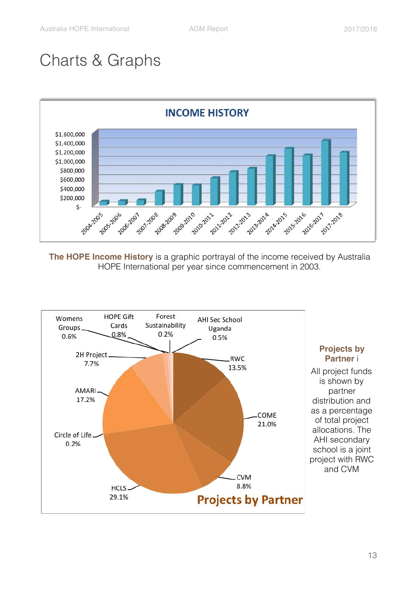# <span id="page-12-0"></span>Charts & Graphs



**The HOPE Income History** is a graphic portrayal of the income received by Australia HOPE International per year since commencement in 2003.

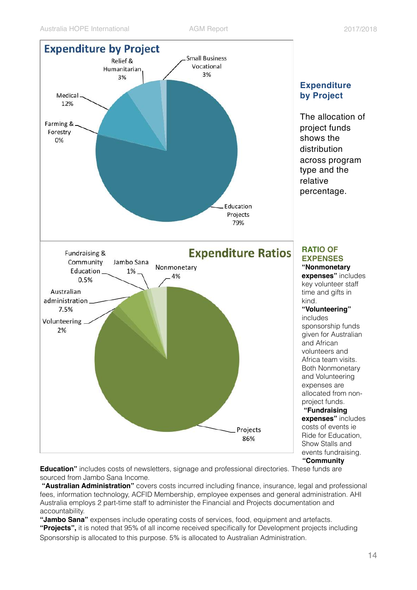

**Education"** includes costs of newsletters, signage and professional directories. These funds are sourced from Jambo Sana Income.

**"Australian Administration"** covers costs incurred including finance, insurance, legal and professional fees, information technology, ACFID Membership, employee expenses and general administration. AHI Australia employs 2 part-time staff to administer the Financial and Projects documentation and accountability.

**"Jambo Sana"** expenses include operating costs of services, food, equipment and artefacts. **"Projects",** it is noted that 95% of all income received specifically for Development projects including Sponsorship is allocated to this purpose. 5% is allocated to Australian Administration.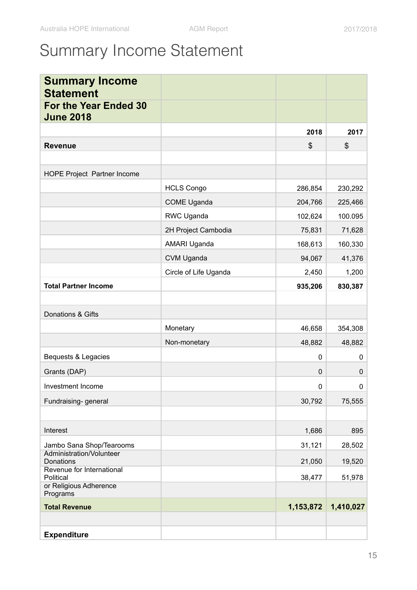# <span id="page-14-0"></span>Summary Income Statement

| <b>Summary Income</b><br><b>Statement</b>        |                       |              |           |
|--------------------------------------------------|-----------------------|--------------|-----------|
| <b>For the Year Ended 30</b><br><b>June 2018</b> |                       |              |           |
|                                                  |                       | 2018         | 2017      |
| <b>Revenue</b>                                   |                       | \$           | \$        |
|                                                  |                       |              |           |
| HOPE Project Partner Income                      |                       |              |           |
|                                                  | <b>HCLS Congo</b>     | 286,854      | 230,292   |
|                                                  | <b>COME Uganda</b>    | 204,766      | 225,466   |
|                                                  | RWC Uganda            | 102,624      | 100.095   |
|                                                  | 2H Project Cambodia   | 75,831       | 71,628    |
|                                                  | AMARI Uganda          | 168,613      | 160,330   |
|                                                  | CVM Uganda            | 94,067       | 41,376    |
|                                                  | Circle of Life Uganda | 2,450        | 1,200     |
| <b>Total Partner Income</b>                      |                       | 935,206      | 830,387   |
|                                                  |                       |              |           |
| Donations & Gifts                                |                       |              |           |
|                                                  | Monetary              | 46,658       | 354,308   |
|                                                  | Non-monetary          | 48,882       | 48,882    |
| Bequests & Legacies                              |                       | $\mathbf{0}$ | 0         |
| Grants (DAP)                                     |                       | $\mathbf 0$  | 0         |
| Investment Income                                |                       | 0            | 0         |
| Fundraising- general                             |                       | 30,792       | 75,555    |
|                                                  |                       |              |           |
| Interest                                         |                       | 1,686        | 895       |
| Jambo Sana Shop/Tearooms                         |                       | 31,121       | 28,502    |
| Administration/Volunteer<br>Donations            |                       | 21,050       | 19,520    |
| Revenue for International<br>Political           |                       | 38,477       | 51,978    |
| or Religious Adherence<br>Programs               |                       |              |           |
| <b>Total Revenue</b>                             |                       | 1,153,872    | 1,410,027 |
|                                                  |                       |              |           |
| <b>Expenditure</b>                               |                       |              |           |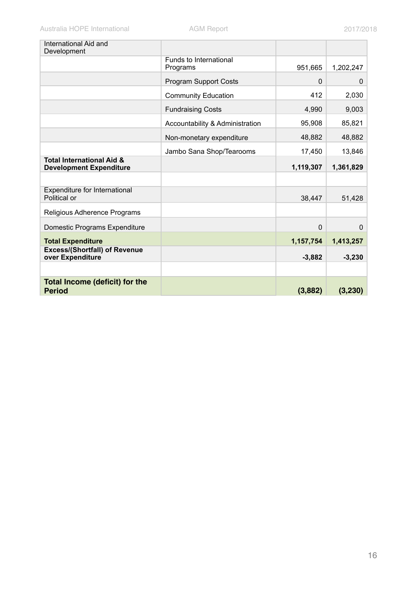| International Aid and<br>Development                                   |                                    |           |           |
|------------------------------------------------------------------------|------------------------------------|-----------|-----------|
|                                                                        | Funds to International<br>Programs | 951,665   | 1,202,247 |
|                                                                        | <b>Program Support Costs</b>       | $\Omega$  | $\Omega$  |
|                                                                        | <b>Community Education</b>         | 412       | 2,030     |
|                                                                        | <b>Fundraising Costs</b>           | 4,990     | 9,003     |
|                                                                        | Accountability & Administration    | 95,908    | 85,821    |
|                                                                        | Non-monetary expenditure           | 48,882    | 48,882    |
|                                                                        | Jambo Sana Shop/Tearooms           | 17,450    | 13,846    |
| <b>Total International Aid &amp;</b><br><b>Development Expenditure</b> |                                    | 1,119,307 | 1,361,829 |
|                                                                        |                                    |           |           |
| Expenditure for International<br>Political or                          |                                    | 38,447    | 51,428    |
| Religious Adherence Programs                                           |                                    |           |           |
| Domestic Programs Expenditure                                          |                                    | $\Omega$  | $\Omega$  |
| <b>Total Expenditure</b>                                               |                                    | 1,157,754 | 1,413,257 |
| <b>Excess/(Shortfall) of Revenue</b><br>over Expenditure               |                                    | $-3,882$  | $-3,230$  |
|                                                                        |                                    |           |           |
| <b>Total Income (deficit) for the</b><br><b>Period</b>                 |                                    | (3,882)   | (3, 230)  |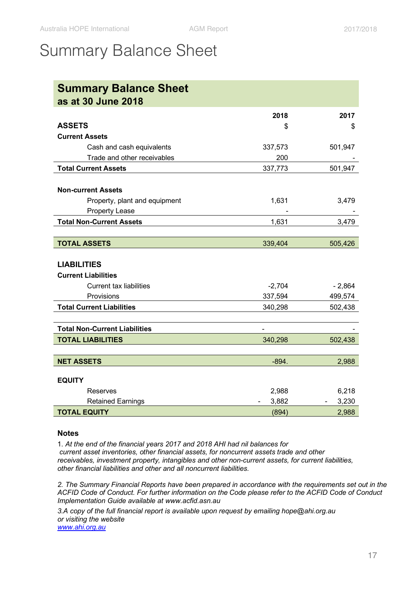## <span id="page-16-0"></span>Summary Balance Sheet

| <b>Summary Balance Sheet</b>         |          |          |
|--------------------------------------|----------|----------|
| as at 30 June 2018                   |          |          |
|                                      | 2018     | 2017     |
| <b>ASSETS</b>                        | \$       | \$       |
| <b>Current Assets</b>                |          |          |
| Cash and cash equivalents            | 337,573  | 501,947  |
| Trade and other receivables          | 200      |          |
| <b>Total Current Assets</b>          | 337,773  | 501,947  |
|                                      |          |          |
| <b>Non-current Assets</b>            |          |          |
| Property, plant and equipment        | 1,631    | 3,479    |
| <b>Property Lease</b>                |          |          |
| <b>Total Non-Current Assets</b>      | 1,631    | 3,479    |
|                                      |          |          |
| <b>TOTAL ASSETS</b>                  | 339,404  | 505,426  |
|                                      |          |          |
| <b>LIABILITIES</b>                   |          |          |
| <b>Current Liabilities</b>           |          |          |
| <b>Current tax liabilities</b>       | $-2,704$ | $-2,864$ |
| Provisions                           | 337,594  | 499,574  |
| <b>Total Current Liabilities</b>     | 340,298  | 502,438  |
|                                      |          |          |
| <b>Total Non-Current Liabilities</b> |          |          |
| <b>TOTAL LIABILITIES</b>             | 340,298  | 502,438  |
|                                      |          |          |
| <b>NET ASSETS</b>                    | $-894.$  | 2,988    |
|                                      |          |          |
| <b>EQUITY</b>                        |          |          |
| Reserves                             | 2,988    | 6,218    |
| <b>Retained Earnings</b>             | 3,882    | 3,230    |
| <b>TOTAL EQUITY</b>                  | (894)    | 2,988    |

#### **Notes**

1. *At the end of the financial years 2017 and 2018 AHI had nil balances for current asset inventories, other financial assets, for noncurrent assets trade and other receivables, investment property, intangibles and other non-current assets, for current liabilities, other financial liabilities and other and all noncurrent liabilities.*

*2. The Summary Financial Reports have been prepared in accordance with the requirements set out in the ACFID Code of Conduct. For further information on the Code please refer to the ACFID Code of Conduct Implementation Guide available at www.acfid.asn.au*

*3.A copy of the full financial report is available upon request by emailing hope@ahi.org.au or visiting the website www.ahi.org.au*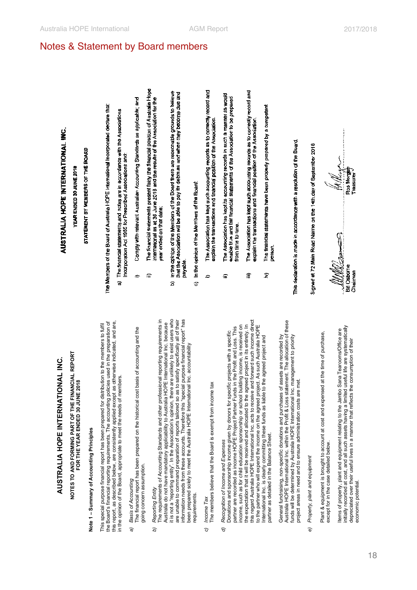# **NOTES TO AND FORMING PART OF THE FINANCIAL REPORT**  VOTES TO AND FORMING PART OF THE FINANCIAL REPORT<br>FOR THE YEAR ENDED 30 JUNE 2018 **FOR THE YEAR ENDED 30 JUNE 2018**

# **Note 1-Summary of Accounting Principles Note 1 – Summary of Accounting Principles**

this report, as described below, are consistently applied except as otherwise indicated, and are, the Board's financial reporting requirements. The accounting policies used in the preparation of<br>this report, as described below, are consistently applied except as otherwise indicated, and are, the Board's financial reporting requirements. The accounting policies used in the preparation of This special purpose financial report has been prepared for distribution to the members to fulfil This special purpose financial report has been prepared for distribution to the members to fulfil in the opinion of the Board, appropriate to meet the needs of members. in the opinion of the Board, appropriate to meet the needs of members.

## **Basis of Accounting** *a) Basis of Accounting*  $\widehat{a}$

The financial report has been prepared on the historical cost basis of accounting and the The financial report has been prepared on the historical cost basis of accounting and the aoing concern assumption. going concern assumption.

### Reporting Entity *b) Reporting Entity* b

it is not a "reporting entity". In the Association's opinion, there are unlikely to exist users who it is not a "reporting entity". In the Association's opinion, there are unlikely to exist users who are unable to command preparation of reports tailored so as to satisfy specifically all of their<br>information needs from these accounts. Therefore this "special purpose financial report" has information needs from these accounts. Therefore this "special purpose financial report" has The requirements of Accounting Standards and other professional reporting requirements in The requirements of Accounting Standards and other professional reporting requirements in are unable to command preparation of reports tailored so as to satisfy specifically all of their Australia do not have mandatory applicability to Australia HOPE International Inc. because Australia do not have mandatory applicability to Australia HOPE International Inc. because been prepared solely to meet the Australia HOPE International Inc. accountability been prepared solely to meet the Australia HOPE International Inc. accountability requirements. equirements.

#### ncome Tax *c) Income Tax* ි

The members believe that the Board is exempt from income tax The members believe that the Board is exempt from income tax

# Recognition of Income and Expenses *d) Recognition of Income and Expenses*  $\sigma$

this regard Australia HOPE International Inc. acts to receive and forward such income direct his regard Australia HOPE International Inc. acts to receive and forward such income direct to the partner who will expend the income on the agreed project. As such Australia HOPE<br>International Inc. is clearly committing these funds as liable to the agreed project and income, such as for child education sponsorship or school building income, is received on income, such as for child education sponsorship or school building income, is received on the expectation that it will be received and allocated to the agreed project in its entirety. In the expectation that it will be received and allocated to the agreed project in its entirety. In to the partner who will expend the income on the agreed project. As such Australia HOPE partner are recorded as income HOPE Project Partner Funds in the Profit and Loss. This partner are recorded as income HOPE Project Partner Funds in the Profit and Loss. This Donations and sponsorship income given by donors for specific projects with a specific Donations and sponsorship income given by donors for specific projects with a specific International Inc. is clearly committing these funds as liable to the agreed project and partner as detailed in the Balance Sheet. partner as detailed in the Balance Sheet.

Australia HOPE International Inc. within the Profit & Loss statement. The allocation of these Australia HOPE International Inc. within the Profit & Loss statement. The allocation of these General fundraising, non-specific donations and purchases of assets are recorded by General fundraising, non-specific donations and purchases of assets are recorded by unds will be determined by Australia HOPE International Inc. management to priority funds will be determined by Australia HOPE International Inc. management to priority project areas in need and to ensure administration costs are met. project areas in need and to ensure administration costs are met.

# Property, plant and equipment *e) Property, plant and equipment*  $\widehat{e}$

Plant & equipment is brought to account at cost and expensed at the time of purchase, Plant & equipment is brought to account at cost and expensed at the time of purchase, except for in the case detailed below. except for in the case detailed below.

initially recorded at cost, and all such assets having a limited useful life are systematically nitially recorded at cost, and all such assets having a limited useful life are systematically tems of property, plant and equipment relating to the Jambo Sana Tearooms/Office are Items of property, plant and equipment relating to the Jambo Sana Tearooms/Office are depreciated over their useful lives in a manner that reflects the consumption of their depreciated over their useful lives in a manner that reflects the consumption of their economic potential.sconomic potential.

# **AUSTRALI HOPE E INTERNATIONA** ن<br>≩

# **YEAR ENDED 30 JUNE 2018**  TEAR ENDED 30 JUNE 2018

# **STATEMENT BY MEMBERS OF THE BOARD**  STATEMENT BY MEMBERS OF THE BOARD

**The Members of the Board of Australia HOPE Intemational Incorporated declare that:**  The Members of the Board of Australia HOPE International incorporated declare that:

**a) The financial statements and notes are in accordance with the Associations Incorporation Act 1985 for Prescribed Associations and:**  The financial statements and notes are in accordance with the Associations Incorporation Act 1985 for Prescribed Associations and: â

<span id="page-17-0"></span>Notes & Statement by Board members

- **i) Comply with relevant Australian Accounting Standards as applicable; and**  Comply with relevant Australian Accounting Standards as applicable; and ÷
- **ii) The financial statements present fairly the financial position of Australia Hope Intemational as at 30 June 2018 and the results of the Association for the**  The financial statements present fairly the financial position of Australia Hope International as at 30 June 2018 and the results of the Association for the **year ended on that date;**  vear ended on that date: ≘
- **b) In the opinion of the Members of the Board there are reasonable grounds to believe that the Association will be able to pay its debts as and when they become due and payable.**  In the opinion of the Members of the Board there are reasonable grounds to believe<br>that the Association will be able to pay its debts as and when they become due and payable â
- **c) In the opinion of the Members of the Board:**  In the opinion of the Members of the Board ତ
- **i) The Association has kept such accounting records as to conBctly record and explain the transactions and financial position of the Assodation.**  The Association has kept such accounting records as to correctly record and explain the transactions and financial position of the Association  $\approx$
- The Association has kept its accounting records in such a manner as would<br>enable true and fair financial statements of the Association to be prepared The Association has kept its accounting records in such a manner as would enable true and fair financial statements of the Association to be prepared **m time to time.**  from time to time. Φ
- **iii) The Association has kept such accounting records as to con-ectly record and explain the transactions and financial position of the Association.**  The Association has kept such accounting records as to correctly record and explain the transactions and financial position of the Association. €
- **iv) The financial statements have been properly prepared by a competent**  The financial statements have been properly prepared by a comp<del>e</del>tent<br>person. Σ

# **This declaration is made in accordance with a resolution of the Board.**  This declaration is made in accordance with a resolution of the Board

**Signed at 72 Main Road Naime on the 14th.day of September 2018**  Signed at 72 Main Road Naime on the 14th day of September 2018

Ros Morg Treasurer **Bill Osborne**  Bill Osborne **Chairman**  Chairman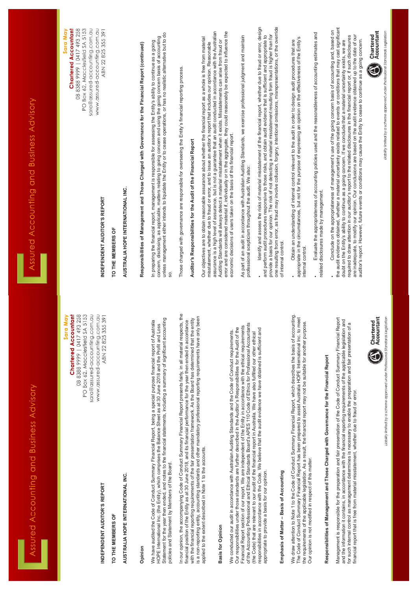| A DAIX DA A ADILIADA DI DI DI DI LI DOVU C DI DAA<br>Assorbed ACCOntribution and Discription of the Santess Accept | PO Box 62, Macclesfield SA 5153<br>sara@assured-accounting.com.au<br>www.assured-accounting.com.au<br><b>Chartered Accountant</b><br>08 8388 9999   0417 493 258<br>ABN 22 825 355 391<br>Sara May<br>INDEPENDENT AUDITOR'S REPORT<br>PO Box 62, Macclesfield SA 5153<br>sara@assured-accounting.com.au<br>www.assured-accounting.com.au<br>08 8388 9999   0417 493 258<br><b>Chartered Accountant</b><br>ABN 22 825 355 391<br>Sara May | TO THE MEMBERS OF | AUSTRALIA HOPE INTERNATIONAL INC. | Responsibilities of Management and Those Charged with Governance for the Financial Report (continued) | unless management either intends to liquidate the Entity or to cease operations, or has no realistic alternative but to do<br>concern, disclosing, as applicable, matters relating to going concern and using the going concern basis of accounting<br>In preparing the financial report, management is responsible for assessing the Entity's ability to continue as a going<br>S.<br>Statement for the year then ended, and notes to the financial statements, including a summary of significant accounting<br>Australia<br>HOPE International Inc. (the Entity), which comprises the Balance Sheet as at 30 June 2018 and the Profit and Loss<br>We have audited the Code of Conduct Summary Financial Report, being a special purpose financial report of | Those charged with governance are responsible for overseeing the Entity's financial reporting process.<br>Auditor's Responsibilities for the Audit of the Financial Report<br>In our opinion, the accompanying Code of Conduct Summary Financial Report presents fairly, in all material respects, the<br>with the financial reporting requirements of the fair presentation framework. As the Board has determined that the entity<br>financial position of the Entity as at 30 June 2018, and its financial performance for the year then ended in accordance | Our objectives are to obtain reasonable assurance about whether the financial report as a whole is free from material<br>misstatement, whether due to fraud or error, and to issue an auditor's report that includes our opinion. Reasonable<br>is a non-reporting entity, accounting standards and other mandatory professional reporting requirements have only been | error and are considered material if, individually or in the aggregate, they could reasonably be expected to influence the<br>economic decisions of users taken on the basis of this financial report.<br>assurance is a high level of assurance, but is not a guarantee that an audit conducted in accordance with the Australian<br>Auditing Standards will always detect a material misstatement when it exists. Misstatements can arise from fraud or | As part of an audit in accordance with Australian Auditing Standards, we exercise professional judgment and maintain<br>professional scepticism throughout the audit. We also:<br>of the Accounting Professional and Ethical Standards Board's APES 110 Code of Ethics for Professional Accountants<br>Financial Report section of our report. We are independent of the Entity in accordance with the ethical requirements<br>Our responsibilities under those standards are further described in the Auditor's Responsibilities for the Audit of the<br>We conducted our audit in accordance with Australian Auditing Standards and the Code of Conduct requirements.<br>(the Code) that are relevant to our audit of the financial report in Australia. We have also fulfilled our other ethical | ldentify and assess the risks of material misstatement of the financial report, whether due to fraud or error, design<br>provide a basis for our opinion. The risk of not detecting a material misstatement resulting from fraud is higher than for<br>one resulting from error, as fraud may involve collusion, forgery, intentional omissions, misrepres<br>and perform audit procedures responsive to those risks, and obtain audit evidence that is sufficient and appropriate to<br>responsibilities in accordance with the Code. We believe that the audit evidence we have obtained is sufficient and | of internal control.                     | Evaluate the appropriateness of accounting policies used and the reasonableness of accounting estimates and<br>• Obtain an understanding of internal control relevant to the audit in order to design audit procedures that are<br>appropriate in the circumstances, but not for the purpose of expressing an opinion on the effectiveness of th<br>internal control.<br>accounting.<br>The Code of Conduct Summary Financial Report has been prepared to assist Australia HOPE International Inc. to meet<br>purpose.<br>We draw attention to Note 1 to the Code of Conduct Summary Financial Report, which describes the basis of<br>the requirements of the applicable legislation. As a result, the financial report may not be suitable for another<br>Our opinion is not modified in respect of this matter. | related disclosures made by management.<br>Responsibilities of Management and Those Charged with Governance for the Financial Report | the audit evidence obtained, whether a material uncertainty exists related to events or conditions that may cast significant<br>Conclude on the appropriateness of management's use of the going concern basis of accounting and, based on<br>are inadequate, to modify our opinion. Our conclusions are based on the audit evidence obtained up to the date of our<br>required to draw attention in our auditor's report to the related disclosures in the financial report or, if such disclosures<br>auditor's report. However, future events or conditions may cause the Entity to cease to continue as a going concern.<br>doubt on the Entity's ability to continue as a going concern. If we conclude that a material uncertainty exists, we are<br>Management is responsible for the preparation and fair presentation of the Code of Conduct Summary Financial Report<br>and the information it contains, in accordance with the financial reporting requirements of the applicable legislation and<br>for such internal control as management determines is necessary to enable the preparation and fair presentation of a | Chartered<br>Accountant<br>4<br>Chartered<br>Accountant |
|--------------------------------------------------------------------------------------------------------------------|------------------------------------------------------------------------------------------------------------------------------------------------------------------------------------------------------------------------------------------------------------------------------------------------------------------------------------------------------------------------------------------------------------------------------------------|-------------------|-----------------------------------|-------------------------------------------------------------------------------------------------------|----------------------------------------------------------------------------------------------------------------------------------------------------------------------------------------------------------------------------------------------------------------------------------------------------------------------------------------------------------------------------------------------------------------------------------------------------------------------------------------------------------------------------------------------------------------------------------------------------------------------------------------------------------------------------------------------------------------------------------------------------------------|-----------------------------------------------------------------------------------------------------------------------------------------------------------------------------------------------------------------------------------------------------------------------------------------------------------------------------------------------------------------------------------------------------------------------------------------------------------------------------------------------------------------------------------------------------------------|------------------------------------------------------------------------------------------------------------------------------------------------------------------------------------------------------------------------------------------------------------------------------------------------------------------------------------------------------------------------|-----------------------------------------------------------------------------------------------------------------------------------------------------------------------------------------------------------------------------------------------------------------------------------------------------------------------------------------------------------------------------------------------------------------------------------------------------------|-----------------------------------------------------------------------------------------------------------------------------------------------------------------------------------------------------------------------------------------------------------------------------------------------------------------------------------------------------------------------------------------------------------------------------------------------------------------------------------------------------------------------------------------------------------------------------------------------------------------------------------------------------------------------------------------------------------------------------------------------------------------------------------------------------|--------------------------------------------------------------------------------------------------------------------------------------------------------------------------------------------------------------------------------------------------------------------------------------------------------------------------------------------------------------------------------------------------------------------------------------------------------------------------------------------------------------------------------------------------------------------------------------------------------------|------------------------------------------|--------------------------------------------------------------------------------------------------------------------------------------------------------------------------------------------------------------------------------------------------------------------------------------------------------------------------------------------------------------------------------------------------------------------------------------------------------------------------------------------------------------------------------------------------------------------------------------------------------------------------------------------------------------------------------------------------------------------------------------------------------------------------------------------------------------------|--------------------------------------------------------------------------------------------------------------------------------------|--------------------------------------------------------------------------------------------------------------------------------------------------------------------------------------------------------------------------------------------------------------------------------------------------------------------------------------------------------------------------------------------------------------------------------------------------------------------------------------------------------------------------------------------------------------------------------------------------------------------------------------------------------------------------------------------------------------------------------------------------------------------------------------------------------------------------------------------------------------------------------------------------------------------------------------------------------------------------------------------------------------------------------------------------------------------------------------------------------------------------------------|---------------------------------------------------------|
|                                                                                                                    | INDEPENDENT AUDITOR'S REPORT                                                                                                                                                                                                                                                                                                                                                                                                             | TO THE MEMBERS OF | AUSTRALIA HOPE INTERNATIONAL INC. | Opinion                                                                                               | policies and Statement by Members of the Board.                                                                                                                                                                                                                                                                                                                                                                                                                                                                                                                                                                                                                                                                                                                |                                                                                                                                                                                                                                                                                                                                                                                                                                                                                                                                                                 | applied to the extent described in Note 1 to the accounts.                                                                                                                                                                                                                                                                                                             | <b>Basis for Opinion</b>                                                                                                                                                                                                                                                                                                                                                                                                                                  |                                                                                                                                                                                                                                                                                                                                                                                                                                                                                                                                                                                                                                                                                                                                                                                                     | appropriate to provide a basis for our opinion.                                                                                                                                                                                                                                                                                                                                                                                                                                                                                                                                                              | Emphasis of Matter - Basis of Accounting |                                                                                                                                                                                                                                                                                                                                                                                                                                                                                                                                                                                                                                                                                                                                                                                                                    |                                                                                                                                      | financial report that is free from material misstatement, whether due to fraud or error.                                                                                                                                                                                                                                                                                                                                                                                                                                                                                                                                                                                                                                                                                                                                                                                                                                                                                                                                                                                                                                             |                                                         |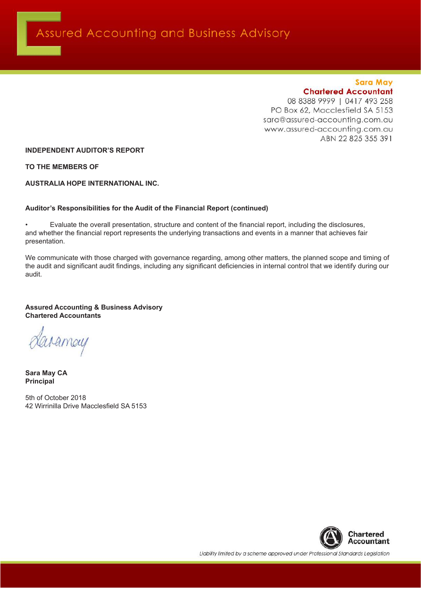#### **Sara May Chartered Accountant**

08 8388 9999 | 0417 493 258 PO Box 62, Macclesfield SA 5153 sara@assured-accounting.com.au www.assured-accounting.com.au ABN 22 825 355 391

**INDEPENDENT AUDITOR'S REPORT**

**TO THE MEMBERS OF**

**AUSTRALIA HOPE INTERNATIONAL INC.**

#### **Auditor's Responsibilities for the Audit of the Financial Report (continued)**

• Evaluate the overall presentation, structure and content of the financial report, including the disclosures, and whether the financial report represents the underlying transactions and events in a manner that achieves fair presentation.

We communicate with those charged with governance regarding, among other matters, the planned scope and timing of the audit and significant audit findings, including any significant deficiencies in internal control that we identify during our audit.

#### **Assured Accounting & Business Advisory Chartered Accountants**

daramay

**Sara May CA Principal**

5th of October 2018 42 Wirrinilla Drive Macclesfield SA 5153



Liability limited by a scheme approved under Professional Standards Legislation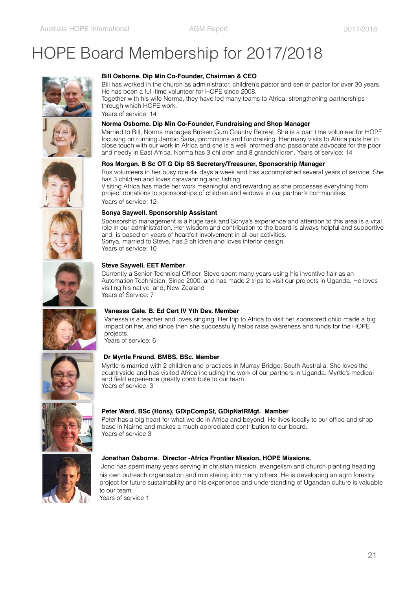# HOPE Board Membership for 2017/2018







Bill has worked in the church as administrator, children's pastor and senior pastor for over 30 years. He has been a full-time volunteer for HOPE since 2008.

Together with his wife Norma, they have led many teams to Africa, strengthening partnerships through which HOPE work.

Years of service: 14

#### **Norma Osborne. Dip Min Co-Founder, Fundraising and Shop Manager**

Married to Bill, Norma manages Broken Gum Country Retreat. She is a part time volunteer for HOPE focusing on running Jambo Sana, promotions and fundraising. Her many visits to Africa puts her in close touch with our work in Africa and she is a well informed and passionate advocate for the poor and needy in East Africa. Norma has 3 children and 8 grandchildren. Years of service: 14

#### **Ros Morgan. B Sc OT G Dip SS Secretary/Treasurer, Sponsorship Manager**

Ros volunteers in her busy role 4+ days a week and has accomplished several years of service. She has 3 children and loves caravanning and fishing.

Visiting Africa has made her work meaningful and rewarding as she processes everything from project donations to sponsorships of children and widows in our partner's communities. Years of service: 12

#### **Sonya Saywell. Sponsorship Assistant**

Sponsorship management is a huge task and Sonya's experience and attention to this area is a vital role in our administration. Her wisdom and contribution to the board is always helpful and supportive and is based on years of heartfelt involvement in all our activities. Sonya, married to Steve, has 2 children and loves interior design. Years of service: 10

#### **Steve Saywell. EET Member**

Currently a Senior Technical Officer, Steve spent many years using his inventive flair as an Automation Technician. Since 2000, and has made 2 trips to visit our projects in Uganda. He loves visiting his native land, New Zealand Years of Service: 7



Vanessa is a teacher and loves singing. Her trip to Africa to visit her sponsored child made a big impact on her, and since then she successfully helps raise awareness and funds for the HOPE projects.

Years of service: 6



#### **Dr Myrtle Freund. BMBS, BSc. Member**

Myrtle is married with 2 children and practices in Murray Bridge, South Australia. She loves the countryside and has visited Africa including the work of our partners in Uganda. Myrtle's medical and field experience greatly contribute to our team. Years of service. 3



#### **Peter Ward. BSc (Hons), GDipCompSt, GDipNatRMgt. Mamber**

Peter has a big heart for what we do in Africa and beyond. He lives locally to our office and shop base in Nairne and makes a much appreciated contribution to our board. Years of service 3



#### **Jonathan Osborne. Director -Africa Frontier Mission, HOPE Missions.**

Jono has spent many years serving in christian mission, evangelism and church planting heading his own outreach organisation and ministering into many others. He is developing an agro forestry project for future sustainability and his experience and understanding of Ugandan culture is valuable to our team.

Years of service 1

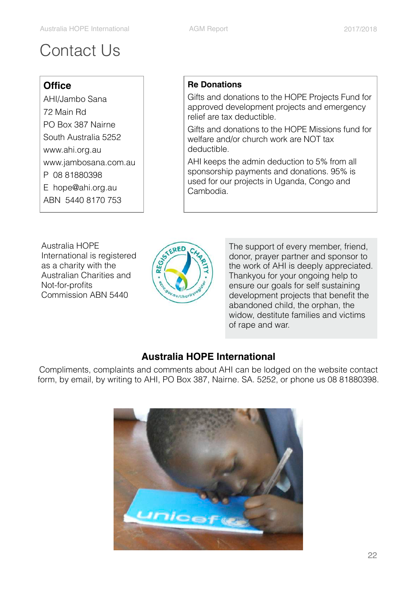# Contact Us

#### **Office**

AHI/Jambo Sana 72 Main Rd PO Box 387 Nairne South Australia 5252 [www.ahi.org.au](http://www.ahi.org.au)  [www.jambosana.com.au](http://www.jambosana.com.au) P 08 81880398 E [hope@ahi.org.au](mailto:hope@ahi.org.au)  ABN 5440 8170 753

#### **Re Donations**

Gifts and donations to the HOPE Projects Fund for approved development projects and emergency relief are tax deductible.

Gifts and donations to the HOPE Missions fund for welfare and/or church work are NOT tax deductible.

AHI keeps the admin deduction to 5% from all sponsorship payments and donations. 95% is used for our projects in Uganda, Congo and Cambodia.

Australia HOPE International is registered as a charity with the Australian Charities and Not-for-profits Commission ABN 5440



The support of every member, friend, donor, prayer partner and sponsor to the work of AHI is deeply appreciated. Thankyou for your ongoing help to ensure our goals for self sustaining development projects that benefit the abandoned child, the orphan, the widow, destitute families and victims of rape and war.

#### **Australia HOPE International**

Compliments, complaints and comments about AHI can be lodged on the website contact form, by email, by writing to AHI, PO Box 387, Nairne. SA. 5252, or phone us 08 81880398.

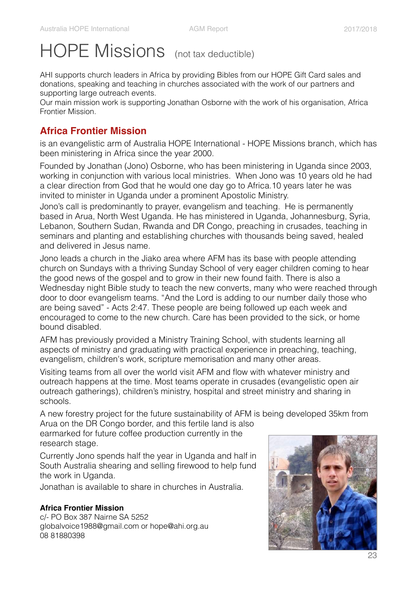# HOPE Missions (not tax deductible)

AHI supports church leaders in Africa by providing Bibles from our HOPE Gift Card sales and donations, speaking and teaching in churches associated with the work of our partners and supporting large outreach events.

Our main mission work is supporting Jonathan Osborne with the work of his organisation, Africa Frontier Mission.

#### **Africa Frontier Mission**

is an evangelistic arm of Australia HOPE International - HOPE Missions branch, which has been ministering in Africa since the year 2000.

Founded by Jonathan (Jono) Osborne, who has been ministering in Uganda since 2003, working in conjunction with various local ministries. When Jono was 10 years old he had a clear direction from God that he would one day go to Africa.10 years later he was invited to minister in Uganda under a prominent Apostolic Ministry.

Jono's call is predominantly to prayer, evangelism and teaching. He is permanently based in Arua, North West Uganda. He has ministered in Uganda, Johannesburg, Syria, Lebanon, Southern Sudan, Rwanda and DR Congo, preaching in crusades, teaching in seminars and planting and establishing churches with thousands being saved, healed and delivered in Jesus name.

Jono leads a church in the Jiako area where AFM has its base with people attending church on Sundays with a thriving Sunday School of very eager children coming to hear the good news of the gospel and to grow in their new found faith. There is also a Wednesday night Bible study to teach the new converts, many who were reached through door to door evangelism teams. "And the Lord is adding to our number daily those who are being saved" - Acts 2:47. These people are being followed up each week and encouraged to come to the new church. Care has been provided to the sick, or home bound disabled.

AFM has previously provided a Ministry Training School, with students learning all aspects of ministry and graduating with practical experience in preaching, teaching, evangelism, children's work, scripture memorisation and many other areas.

Visiting teams from all over the world visit AFM and flow with whatever ministry and outreach happens at the time. Most teams operate in crusades (evangelistic open air outreach gatherings), children's ministry, hospital and street ministry and sharing in schools.

A new forestry project for the future sustainability of AFM is being developed 35km from Arua on the DR Congo border, and this fertile land is also

earmarked for future coffee production currently in the research stage.

Currently Jono spends half the year in Uganda and half in South Australia shearing and selling firewood to help fund the work in Uganda.

Jonathan is available to share in churches in Australia.

#### **Africa Frontier Mission**

c/- PO Box 387 Nairne SA 5252 [globalvoice1988@gmail.com](mailto:globalvoice1988@gmail.com) or [hope@ahi.org.au](mailto:hope@ahi.org.au) 08 81880398